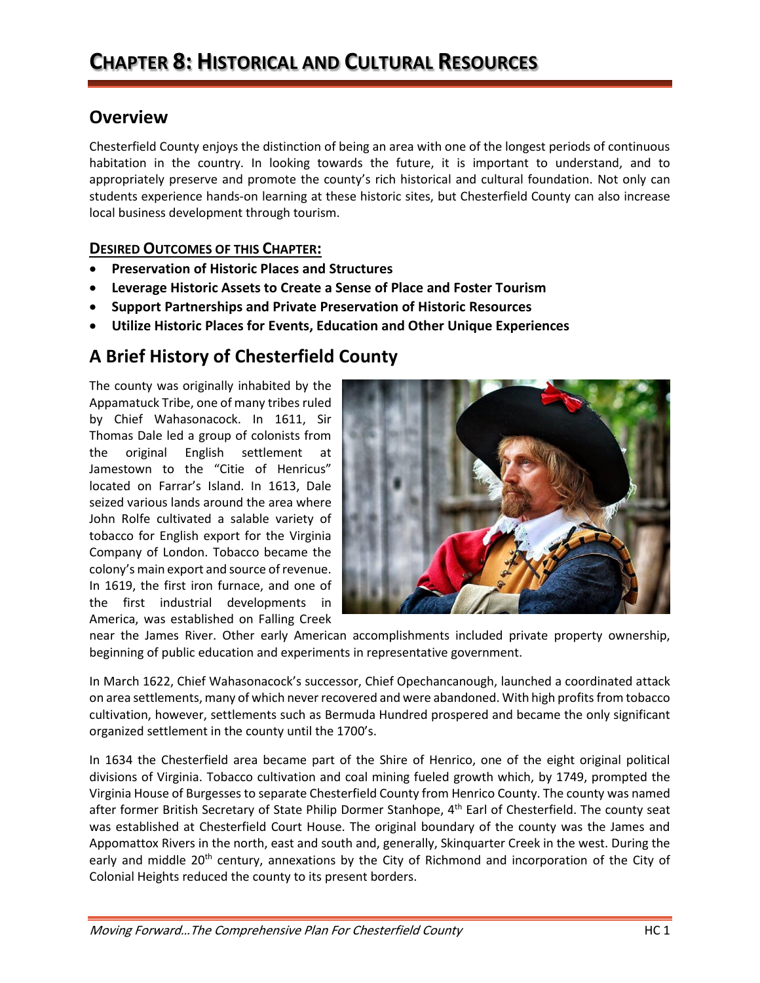## **Overview**

Chesterfield County enjoys the distinction of being an area with one of the longest periods of continuous habitation in the country. In looking towards the future, it is important to understand, and to appropriately preserve and promote the county's rich historical and cultural foundation. Not only can students experience hands-on learning at these historic sites, but Chesterfield County can also increase local business development through tourism.

## **DESIRED OUTCOMES OF THIS CHAPTER:**

- **Preservation of Historic Places and Structures**
- **Leverage Historic Assets to Create a Sense of Place and Foster Tourism**
- **Support Partnerships and Private Preservation of Historic Resources**
- **Utilize Historic Places for Events, Education and Other Unique Experiences**

# **A Brief History of Chesterfield County**

The county was originally inhabited by the Appamatuck Tribe, one of many tribes ruled by Chief Wahasonacock. In 1611, Sir Thomas Dale led a group of colonists from the original English settlement at Jamestown to the "Citie of Henricus" located on Farrar's Island. In 1613, Dale seized various lands around the area where John Rolfe cultivated a salable variety of tobacco for English export for the Virginia Company of London. Tobacco became the colony's main export and source of revenue. In 1619, the first iron furnace, and one of the first industrial developments in America, was established on Falling Creek



near the James River. Other early American accomplishments included private property ownership, beginning of public education and experiments in representative government.

In March 1622, Chief Wahasonacock's successor, Chief Opechancanough, launched a coordinated attack on area settlements, many of which never recovered and were abandoned. With high profits from tobacco cultivation, however, settlements such as Bermuda Hundred prospered and became the only significant organized settlement in the county until the 1700's.

In 1634 the Chesterfield area became part of the Shire of Henrico, one of the eight original political divisions of Virginia. Tobacco cultivation and coal mining fueled growth which, by 1749, prompted the Virginia House of Burgesses to separate Chesterfield County from Henrico County. The county was named after former British Secretary of State Philip Dormer Stanhope, 4<sup>th</sup> Earl of Chesterfield. The county seat was established at Chesterfield Court House. The original boundary of the county was the James and Appomattox Rivers in the north, east and south and, generally, Skinquarter Creek in the west. During the early and middle 20<sup>th</sup> century, annexations by the City of Richmond and incorporation of the City of Colonial Heights reduced the county to its present borders.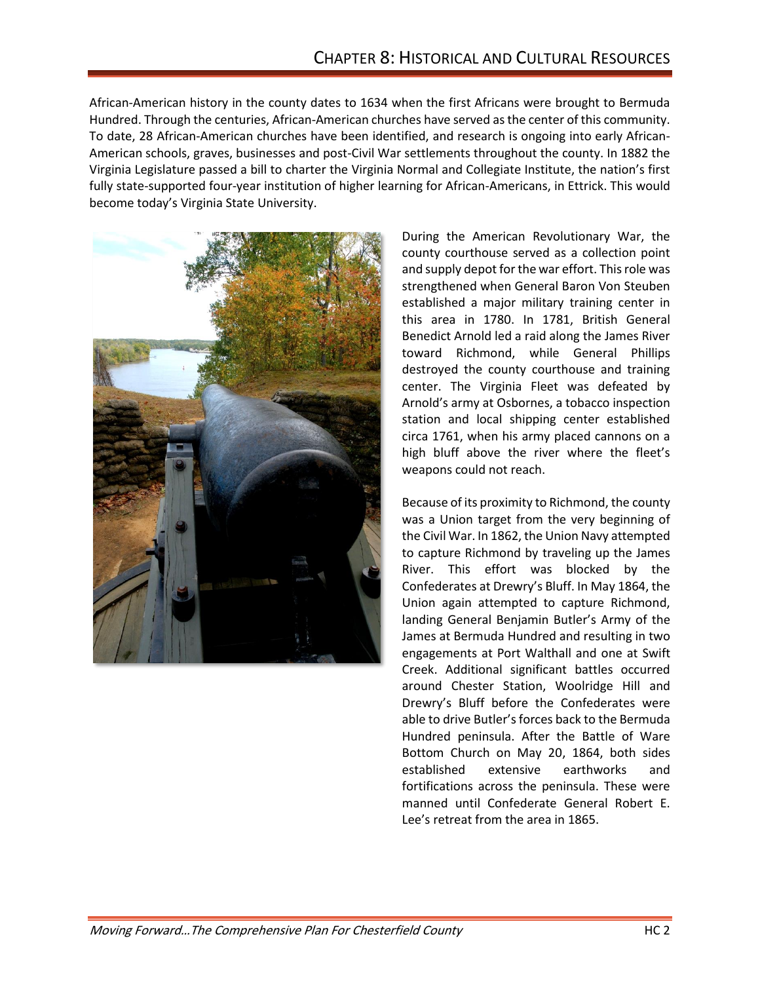African-American history in the county dates to 1634 when the first Africans were brought to Bermuda Hundred. Through the centuries, African-American churches have served as the center of this community. To date, 28 African-American churches have been identified, and research is ongoing into early African-American schools, graves, businesses and post-Civil War settlements throughout the county. In 1882 the Virginia Legislature passed a bill to charter the Virginia Normal and Collegiate Institute, the nation's first fully state-supported four-year institution of higher learning for African-Americans, in Ettrick. This would become today's Virginia State University.



During the American Revolutionary War, the county courthouse served as a collection point and supply depot for the war effort. This role was strengthened when General Baron Von Steuben established a major military training center in this area in 1780. In 1781, British General Benedict Arnold led a raid along the James River toward Richmond, while General Phillips destroyed the county courthouse and training center. The Virginia Fleet was defeated by Arnold's army at Osbornes, a tobacco inspection station and local shipping center established circa 1761, when his army placed cannons on a high bluff above the river where the fleet's weapons could not reach.

Because of its proximity to Richmond, the county was a Union target from the very beginning of the Civil War. In 1862, the Union Navy attempted to capture Richmond by traveling up the James River. This effort was blocked by the Confederates at Drewry's Bluff. In May 1864, the Union again attempted to capture Richmond, landing General Benjamin Butler's Army of the James at Bermuda Hundred and resulting in two engagements at Port Walthall and one at Swift Creek. Additional significant battles occurred around Chester Station, Woolridge Hill and Drewry's Bluff before the Confederates were able to drive Butler's forces back to the Bermuda Hundred peninsula. After the Battle of Ware Bottom Church on May 20, 1864, both sides established extensive earthworks and fortifications across the peninsula. These were manned until Confederate General Robert E. Lee's retreat from the area in 1865.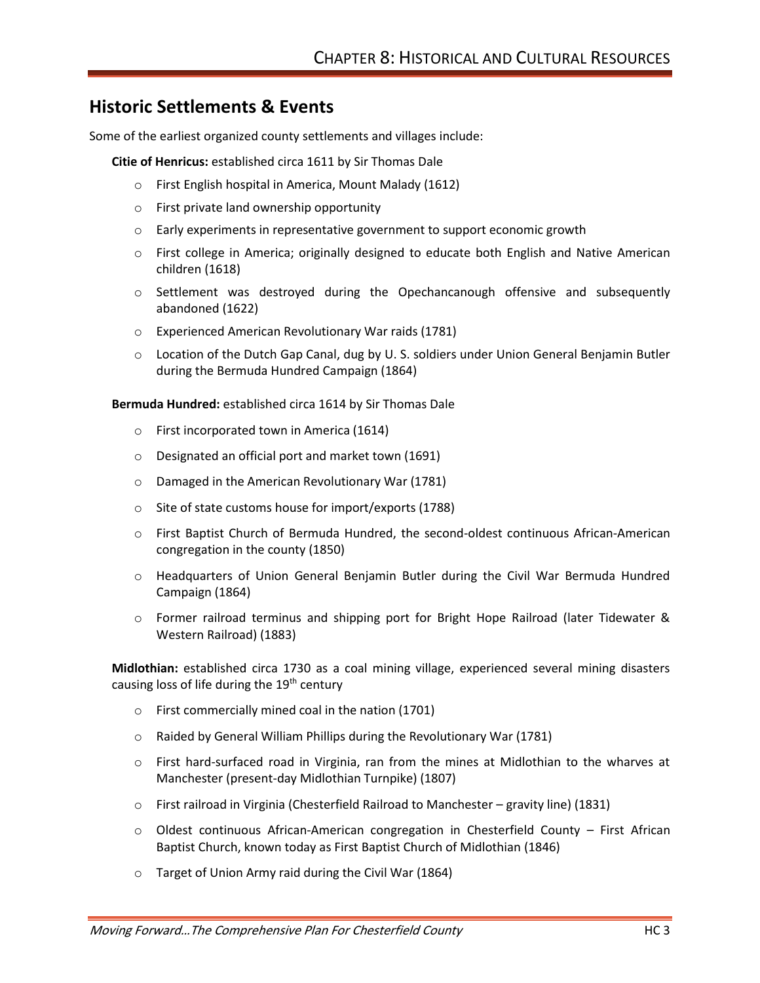## **Historic Settlements & Events**

Some of the earliest organized county settlements and villages include:

**Citie of Henricus:** established circa 1611 by Sir Thomas Dale

- o First English hospital in America, Mount Malady (1612)
- o First private land ownership opportunity
- $\circ$  Early experiments in representative government to support economic growth
- o First college in America; originally designed to educate both English and Native American children (1618)
- o Settlement was destroyed during the Opechancanough offensive and subsequently abandoned (1622)
- o Experienced American Revolutionary War raids (1781)
- o Location of the Dutch Gap Canal, dug by U. S. soldiers under Union General Benjamin Butler during the Bermuda Hundred Campaign (1864)

**Bermuda Hundred:** established circa 1614 by Sir Thomas Dale

- o First incorporated town in America (1614)
- o Designated an official port and market town (1691)
- o Damaged in the American Revolutionary War (1781)
- o Site of state customs house for import/exports (1788)
- o First Baptist Church of Bermuda Hundred, the second-oldest continuous African-American congregation in the county (1850)
- o Headquarters of Union General Benjamin Butler during the Civil War Bermuda Hundred Campaign (1864)
- o Former railroad terminus and shipping port for Bright Hope Railroad (later Tidewater & Western Railroad) (1883)

**Midlothian:** established circa 1730 as a coal mining village, experienced several mining disasters causing loss of life during the 19<sup>th</sup> century

- o First commercially mined coal in the nation (1701)
- o Raided by General William Phillips during the Revolutionary War (1781)
- o First hard-surfaced road in Virginia, ran from the mines at Midlothian to the wharves at Manchester (present-day Midlothian Turnpike) (1807)
- o First railroad in Virginia (Chesterfield Railroad to Manchester gravity line) (1831)
- $\circ$  Oldest continuous African-American congregation in Chesterfield County First African Baptist Church, known today as First Baptist Church of Midlothian (1846)
- o Target of Union Army raid during the Civil War (1864)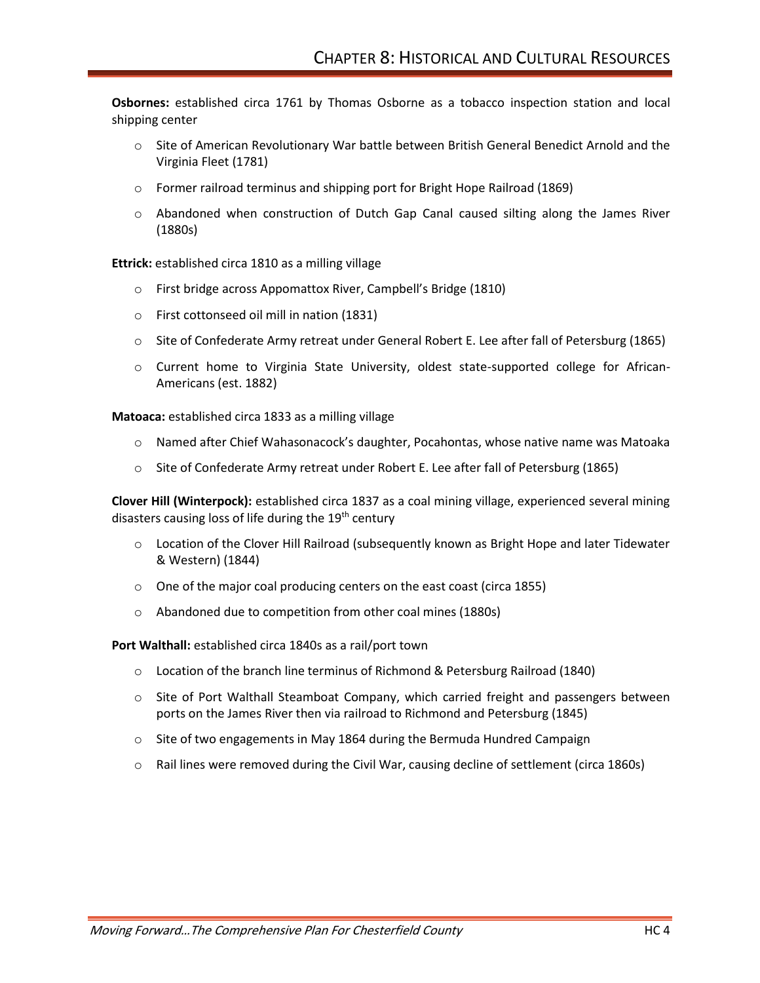**Osbornes:** established circa 1761 by Thomas Osborne as a tobacco inspection station and local shipping center

- o Site of American Revolutionary War battle between British General Benedict Arnold and the Virginia Fleet (1781)
- $\circ$  Former railroad terminus and shipping port for Bright Hope Railroad (1869)
- o Abandoned when construction of Dutch Gap Canal caused silting along the James River (1880s)

**Ettrick:** established circa 1810 as a milling village

- o First bridge across Appomattox River, Campbell's Bridge (1810)
- o First cottonseed oil mill in nation (1831)
- o Site of Confederate Army retreat under General Robert E. Lee after fall of Petersburg (1865)
- o Current home to Virginia State University, oldest state-supported college for African-Americans (est. 1882)

**Matoaca:** established circa 1833 as a milling village

- o Named after Chief Wahasonacock's daughter, Pocahontas, whose native name was Matoaka
- $\circ$  Site of Confederate Army retreat under Robert E. Lee after fall of Petersburg (1865)

**Clover Hill (Winterpock):** established circa 1837 as a coal mining village, experienced several mining disasters causing loss of life during the 19<sup>th</sup> century

- $\circ$  Location of the Clover Hill Railroad (subsequently known as Bright Hope and later Tidewater & Western) (1844)
- o One of the major coal producing centers on the east coast (circa 1855)
- o Abandoned due to competition from other coal mines (1880s)

**Port Walthall:** established circa 1840s as a rail/port town

- o Location of the branch line terminus of Richmond & Petersburg Railroad (1840)
- o Site of Port Walthall Steamboat Company, which carried freight and passengers between ports on the James River then via railroad to Richmond and Petersburg (1845)
- $\circ$  Site of two engagements in May 1864 during the Bermuda Hundred Campaign
- o Rail lines were removed during the Civil War, causing decline of settlement (circa 1860s)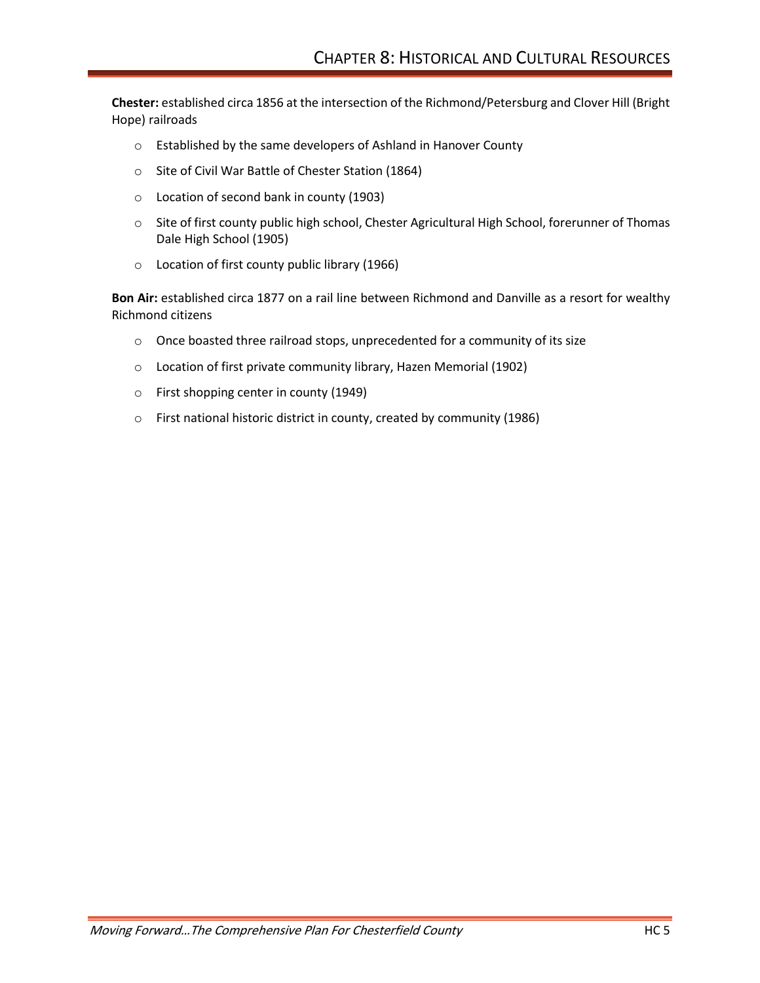**Chester:** established circa 1856 at the intersection of the Richmond/Petersburg and Clover Hill (Bright Hope) railroads

- o Established by the same developers of Ashland in Hanover County
- o Site of Civil War Battle of Chester Station (1864)
- o Location of second bank in county (1903)
- o Site of first county public high school, Chester Agricultural High School, forerunner of Thomas Dale High School (1905)
- o Location of first county public library (1966)

**Bon Air:** established circa 1877 on a rail line between Richmond and Danville as a resort for wealthy Richmond citizens

- o Once boasted three railroad stops, unprecedented for a community of its size
- o Location of first private community library, Hazen Memorial (1902)
- o First shopping center in county (1949)
- o First national historic district in county, created by community (1986)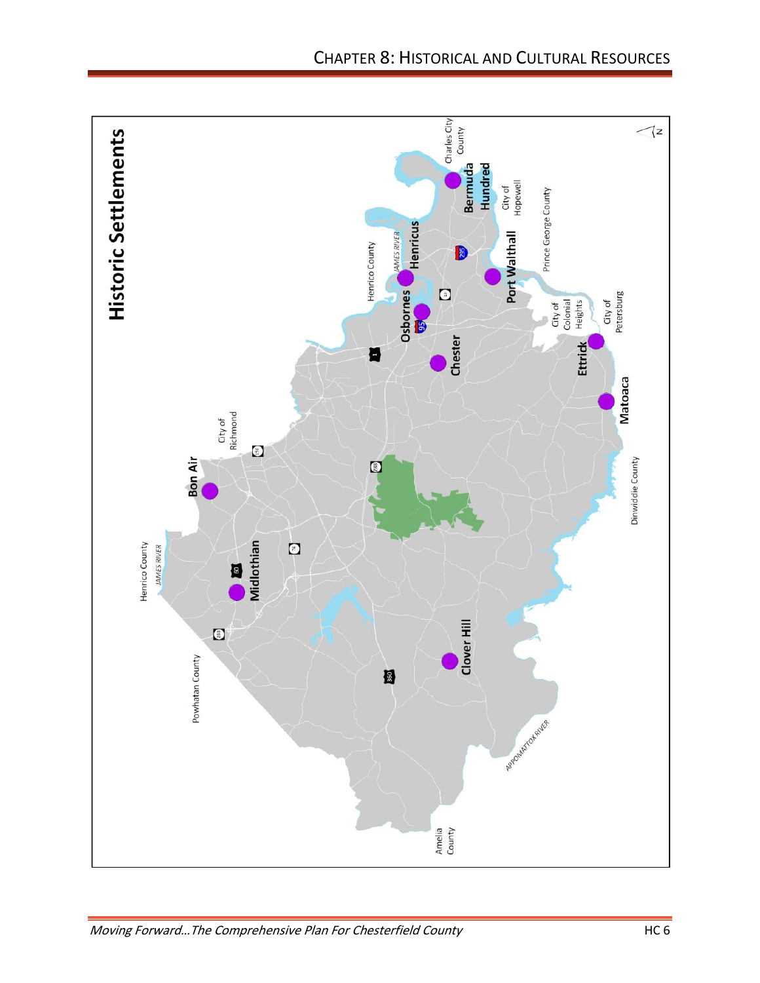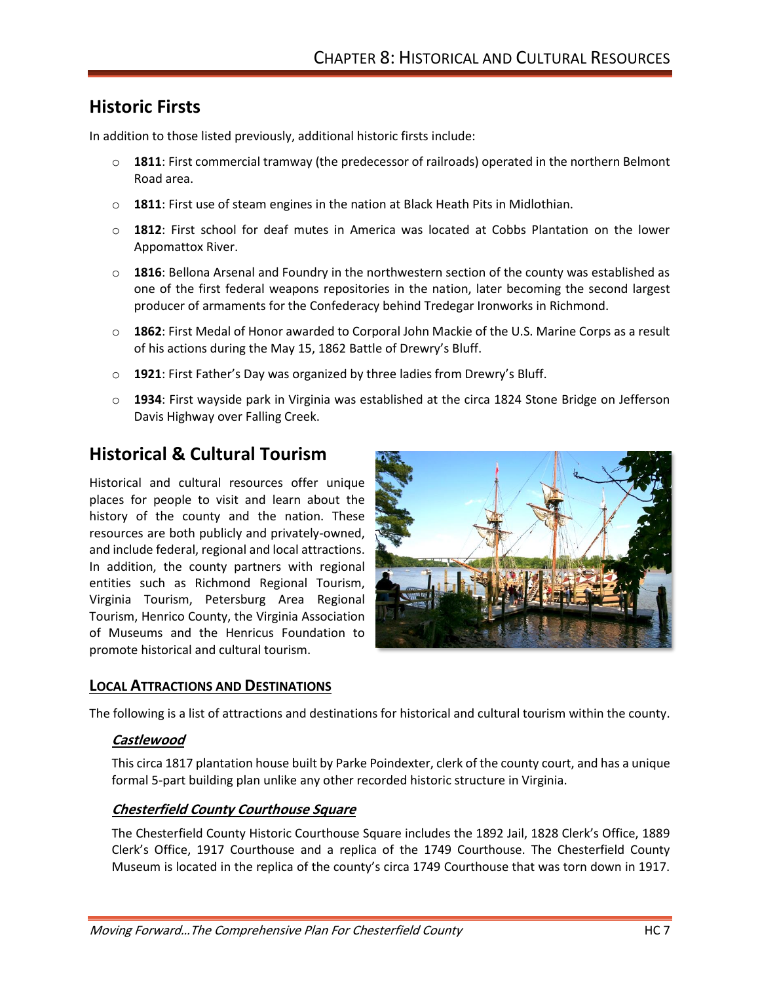# **Historic Firsts**

In addition to those listed previously, additional historic firsts include:

- o **1811**: First commercial tramway (the predecessor of railroads) operated in the northern Belmont Road area.
- o **1811**: First use of steam engines in the nation at Black Heath Pits in Midlothian.
- o **1812**: First school for deaf mutes in America was located at Cobbs Plantation on the lower Appomattox River.
- o **1816**: Bellona Arsenal and Foundry in the northwestern section of the county was established as one of the first federal weapons repositories in the nation, later becoming the second largest producer of armaments for the Confederacy behind Tredegar Ironworks in Richmond.
- o **1862**: First Medal of Honor awarded to Corporal John Mackie of the U.S. Marine Corps as a result of his actions during the May 15, 1862 Battle of Drewry's Bluff.
- o **1921**: First Father's Day was organized by three ladies from Drewry's Bluff.
- o **1934**: First wayside park in Virginia was established at the circa 1824 Stone Bridge on Jefferson Davis Highway over Falling Creek.

# **Historical & Cultural Tourism**

Historical and cultural resources offer unique places for people to visit and learn about the history of the county and the nation. These resources are both publicly and privately-owned, and include federal, regional and local attractions. In addition, the county partners with regional entities such as Richmond Regional Tourism, Virginia Tourism, Petersburg Area Regional Tourism, Henrico County, the Virginia Association of Museums and the Henricus Foundation to promote historical and cultural tourism.



## **LOCAL ATTRACTIONS AND DESTINATIONS**

The following is a list of attractions and destinations for historical and cultural tourism within the county.

#### **Castlewood**

This circa 1817 plantation house built by Parke Poindexter, clerk of the county court, and has a unique formal 5-part building plan unlike any other recorded historic structure in Virginia.

#### **Chesterfield County Courthouse Square**

The Chesterfield County Historic Courthouse Square includes the 1892 Jail, 1828 Clerk's Office, 1889 Clerk's Office, 1917 Courthouse and a replica of the 1749 Courthouse. The Chesterfield County Museum is located in the replica of the county's circa 1749 Courthouse that was torn down in 1917.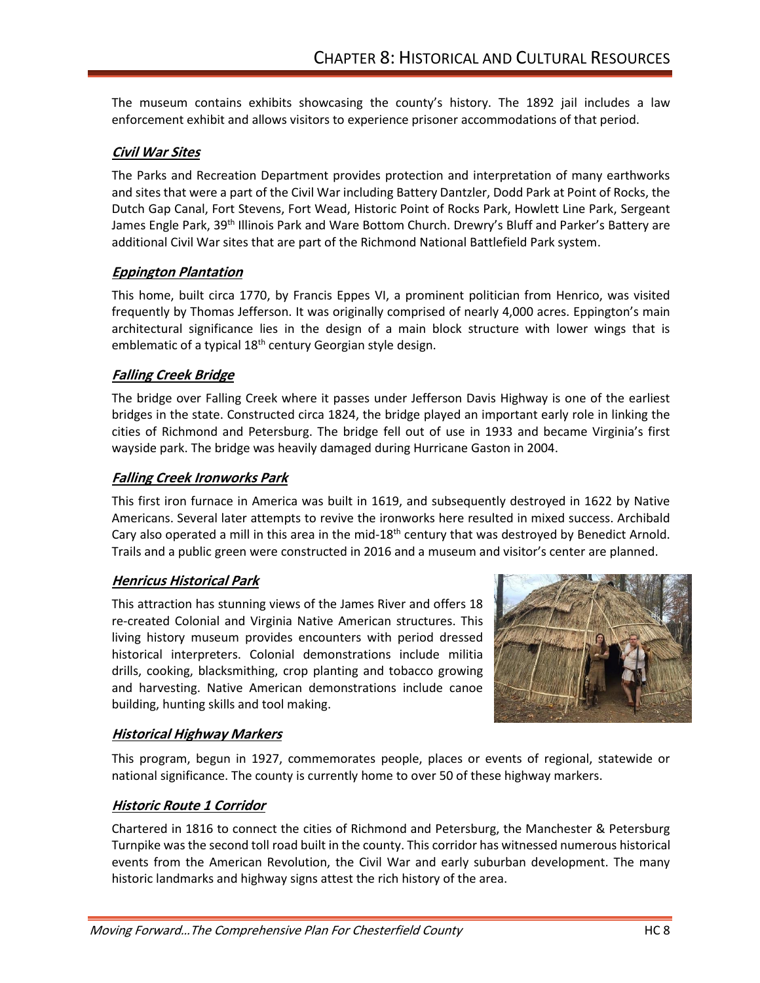The museum contains exhibits showcasing the county's history. The 1892 jail includes a law enforcement exhibit and allows visitors to experience prisoner accommodations of that period.

### **Civil War Sites**

The Parks and Recreation Department provides protection and interpretation of many earthworks and sites that were a part of the Civil War including Battery Dantzler, Dodd Park at Point of Rocks, the Dutch Gap Canal, Fort Stevens, Fort Wead, Historic Point of Rocks Park, Howlett Line Park, Sergeant James Engle Park, 39<sup>th</sup> Illinois Park and Ware Bottom Church. Drewry's Bluff and Parker's Battery are additional Civil War sites that are part of the Richmond National Battlefield Park system.

### **Eppington Plantation**

This home, built circa 1770, by Francis Eppes VI, a prominent politician from Henrico, was visited frequently by Thomas Jefferson. It was originally comprised of nearly 4,000 acres. Eppington's main architectural significance lies in the design of a main block structure with lower wings that is emblematic of a typical 18<sup>th</sup> century Georgian style design.

### **Falling Creek Bridge**

The bridge over Falling Creek where it passes under Jefferson Davis Highway is one of the earliest bridges in the state. Constructed circa 1824, the bridge played an important early role in linking the cities of Richmond and Petersburg. The bridge fell out of use in 1933 and became Virginia's first wayside park. The bridge was heavily damaged during Hurricane Gaston in 2004.

#### **Falling Creek Ironworks Park**

This first iron furnace in America was built in 1619, and subsequently destroyed in 1622 by Native Americans. Several later attempts to revive the ironworks here resulted in mixed success. Archibald Cary also operated a mill in this area in the mid-18<sup>th</sup> century that was destroyed by Benedict Arnold. Trails and a public green were constructed in 2016 and a museum and visitor's center are planned.

## **Henricus Historical Park**

This attraction has stunning views of the James River and offers 18 re-created Colonial and Virginia Native American structures. This living history museum provides encounters with period dressed historical interpreters. Colonial demonstrations include militia drills, cooking, blacksmithing, crop planting and tobacco growing and harvesting. Native American demonstrations include canoe building, hunting skills and tool making.



#### **Historical Highway Markers**

This program, begun in 1927, commemorates people, places or events of regional, statewide or national significance. The county is currently home to over 50 of these highway markers.

#### **Historic Route 1 Corridor**

Chartered in 1816 to connect the cities of Richmond and Petersburg, the Manchester & Petersburg Turnpike was the second toll road built in the county. This corridor has witnessed numerous historical events from the American Revolution, the Civil War and early suburban development. The many historic landmarks and highway signs attest the rich history of the area.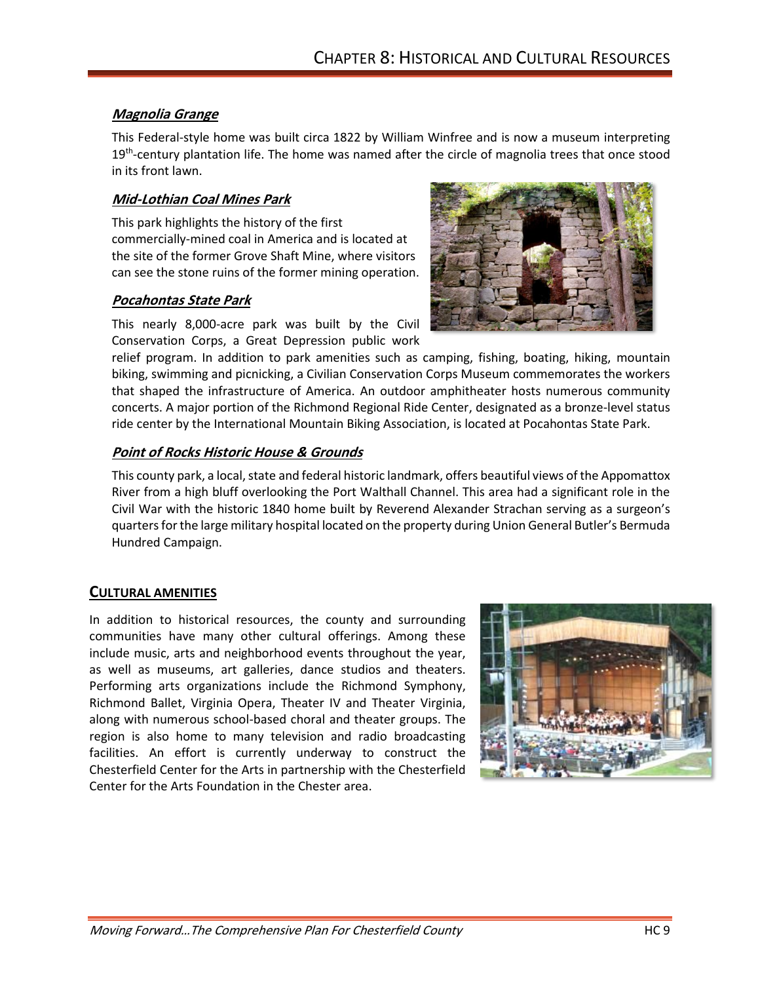### **Magnolia Grange**

This Federal-style home was built circa 1822 by William Winfree and is now a museum interpreting 19<sup>th</sup>-century plantation life. The home was named after the circle of magnolia trees that once stood in its front lawn.

#### **Mid-Lothian Coal Mines Park**

This park highlights the history of the first commercially-mined coal in America and is located at the site of the former Grove Shaft Mine, where visitors can see the stone ruins of the former mining operation.

### **Pocahontas State Park**

This nearly 8,000-acre park was built by the Civil Conservation Corps, a Great Depression public work

relief program. In addition to park amenities such as camping, fishing, boating, hiking, mountain biking, swimming and picnicking, a Civilian Conservation Corps Museum commemorates the workers that shaped the infrastructure of America. An outdoor amphitheater hosts numerous community concerts. A major portion of the Richmond Regional Ride Center, designated as a bronze-level status ride center by the International Mountain Biking Association, is located at Pocahontas State Park.

## **Point of Rocks Historic House & Grounds**

This county park, a local, state and federal historic landmark, offers beautiful views of the Appomattox River from a high bluff overlooking the Port Walthall Channel. This area had a significant role in the Civil War with the historic 1840 home built by Reverend Alexander Strachan serving as a surgeon's quarters for the large military hospital located on the property during Union General Butler's Bermuda Hundred Campaign.

#### **CULTURAL AMENITIES**

In addition to historical resources, the county and surrounding communities have many other cultural offerings. Among these include music, arts and neighborhood events throughout the year, as well as museums, art galleries, dance studios and theaters. Performing arts organizations include the Richmond Symphony, Richmond Ballet, Virginia Opera, Theater IV and Theater Virginia, along with numerous school-based choral and theater groups. The region is also home to many television and radio broadcasting facilities. An effort is currently underway to construct the Chesterfield Center for the Arts in partnership with the Chesterfield Center for the Arts Foundation in the Chester area.



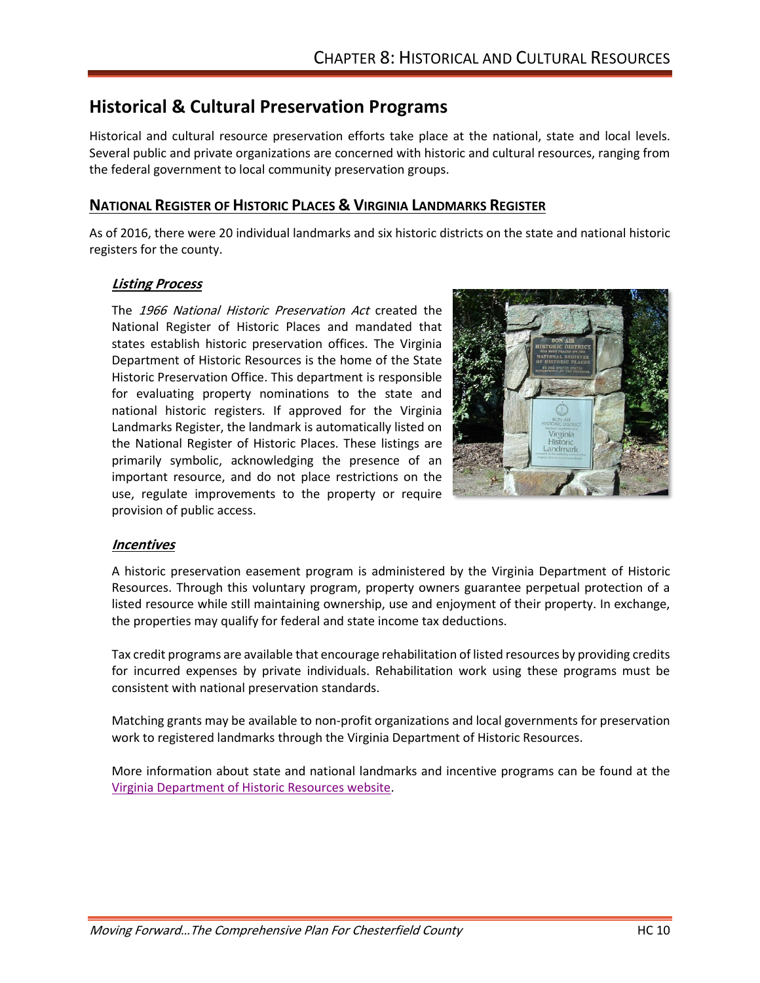# **Historical & Cultural Preservation Programs**

Historical and cultural resource preservation efforts take place at the national, state and local levels. Several public and private organizations are concerned with historic and cultural resources, ranging from the federal government to local community preservation groups.

### **NATIONAL REGISTER OF HISTORIC PLACES & VIRGINIA LANDMARKS REGISTER**

As of 2016, there were 20 individual landmarks and six historic districts on the state and national historic registers for the county.

#### **Listing Process**

The 1966 National Historic Preservation Act created the National Register of Historic Places and mandated that states establish historic preservation offices. The Virginia Department of Historic Resources is the home of the State Historic Preservation Office. This department is responsible for evaluating property nominations to the state and national historic registers. If approved for the Virginia Landmarks Register, the landmark is automatically listed on the National Register of Historic Places. These listings are primarily symbolic, acknowledging the presence of an important resource, and do not place restrictions on the use, regulate improvements to the property or require provision of public access.



#### **Incentives**

A historic preservation easement program is administered by the Virginia Department of Historic Resources. Through this voluntary program, property owners guarantee perpetual protection of a listed resource while still maintaining ownership, use and enjoyment of their property. In exchange, the properties may qualify for federal and state income tax deductions.

Tax credit programs are available that encourage rehabilitation of listed resources by providing credits for incurred expenses by private individuals. Rehabilitation work using these programs must be consistent with national preservation standards.

Matching grants may be available to non-profit organizations and local governments for preservation work to registered landmarks through the Virginia Department of Historic Resources.

More information about state and national landmarks and incentive programs can be found at the [Virginia Department of Historic Resources website.](http://www.dhr.virginia.gov/)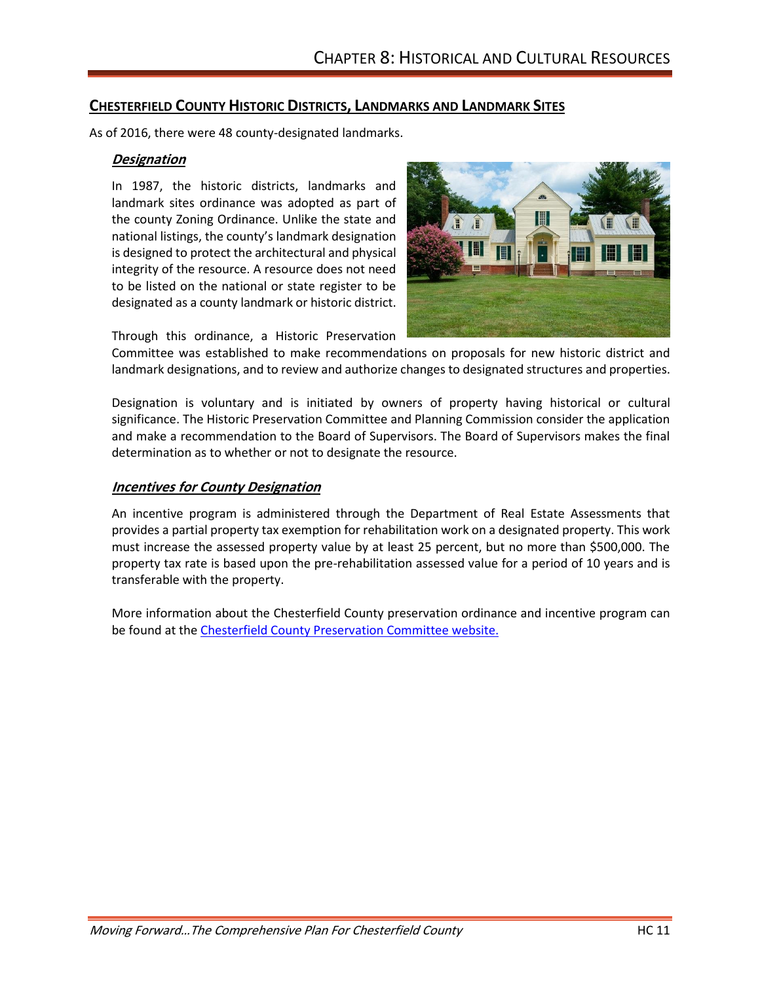### **CHESTERFIELD COUNTY HISTORIC DISTRICTS, LANDMARKS AND LANDMARK SITES**

As of 2016, there were 48 county-designated landmarks.

#### **Designation**

In 1987, the historic districts, landmarks and landmark sites ordinance was adopted as part of the county Zoning Ordinance. Unlike the state and national listings, the county's landmark designation is designed to protect the architectural and physical integrity of the resource. A resource does not need to be listed on the national or state register to be designated as a county landmark or historic district.



Through this ordinance, a Historic Preservation

Committee was established to make recommendations on proposals for new historic district and landmark designations, and to review and authorize changes to designated structures and properties.

Designation is voluntary and is initiated by owners of property having historical or cultural significance. The Historic Preservation Committee and Planning Commission consider the application and make a recommendation to the Board of Supervisors. The Board of Supervisors makes the final determination as to whether or not to designate the resource.

#### **Incentives for County Designation**

An incentive program is administered through the Department of Real Estate Assessments that provides a partial property tax exemption for rehabilitation work on a designated property. This work must increase the assessed property value by at least 25 percent, but no more than \$500,000. The property tax rate is based upon the pre-rehabilitation assessed value for a period of 10 years and is transferable with the property.

More information about the Chesterfield County preservation ordinance and incentive program can be found at th[e Chesterfield County Preservation Committee website.](https://www.chesterfield.gov/1272/Preservation-Committee)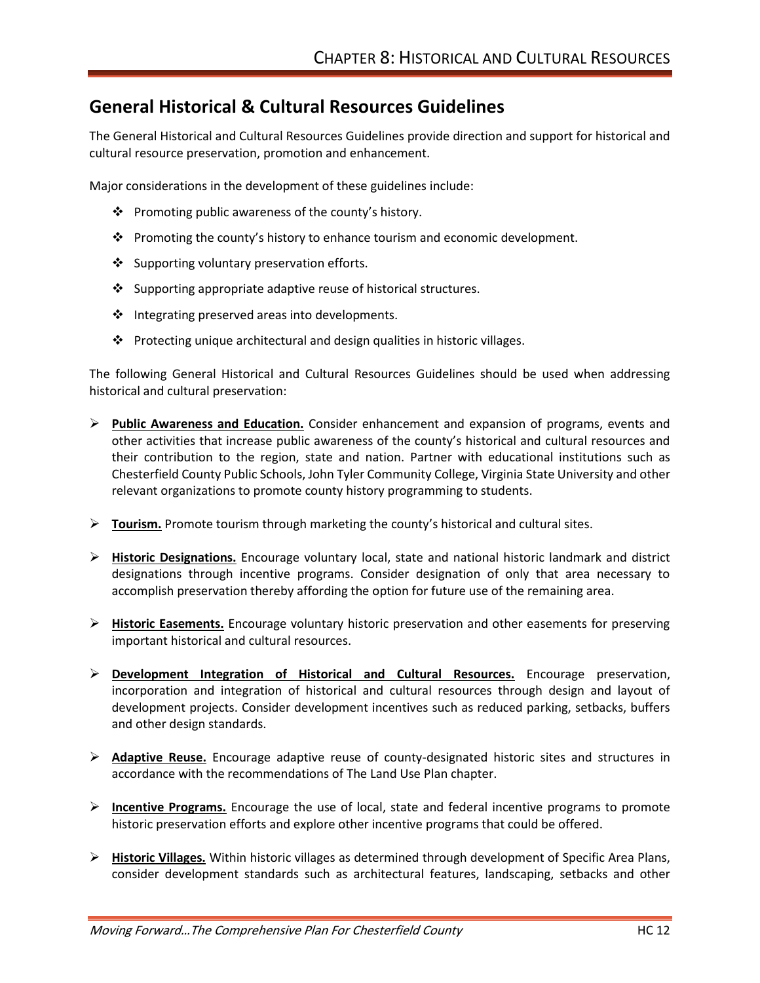## **General Historical & Cultural Resources Guidelines**

The General Historical and Cultural Resources Guidelines provide direction and support for historical and cultural resource preservation, promotion and enhancement.

Major considerations in the development of these guidelines include:

- ❖ Promoting public awareness of the county's history.
- ❖ Promoting the county's history to enhance tourism and economic development.
- ❖ Supporting voluntary preservation efforts.
- ❖ Supporting appropriate adaptive reuse of historical structures.
- ❖ Integrating preserved areas into developments.
- ❖ Protecting unique architectural and design qualities in historic villages.

The following General Historical and Cultural Resources Guidelines should be used when addressing historical and cultural preservation:

- ➢ **Public Awareness and Education.** Consider enhancement and expansion of programs, events and other activities that increase public awareness of the county's historical and cultural resources and their contribution to the region, state and nation. Partner with educational institutions such as Chesterfield County Public Schools, John Tyler Community College, Virginia State University and other relevant organizations to promote county history programming to students.
- ➢ **Tourism.** Promote tourism through marketing the county's historical and cultural sites.
- ➢ **Historic Designations.** Encourage voluntary local, state and national historic landmark and district designations through incentive programs. Consider designation of only that area necessary to accomplish preservation thereby affording the option for future use of the remaining area.
- ➢ **Historic Easements.** Encourage voluntary historic preservation and other easements for preserving important historical and cultural resources.
- ➢ **Development Integration of Historical and Cultural Resources.** Encourage preservation, incorporation and integration of historical and cultural resources through design and layout of development projects. Consider development incentives such as reduced parking, setbacks, buffers and other design standards.
- ➢ **Adaptive Reuse.** Encourage adaptive reuse of county-designated historic sites and structures in accordance with the recommendations of The Land Use Plan chapter.
- ➢ **Incentive Programs.** Encourage the use of local, state and federal incentive programs to promote historic preservation efforts and explore other incentive programs that could be offered.
- ➢ **Historic Villages.** Within historic villages as determined through development of Specific Area Plans, consider development standards such as architectural features, landscaping, setbacks and other